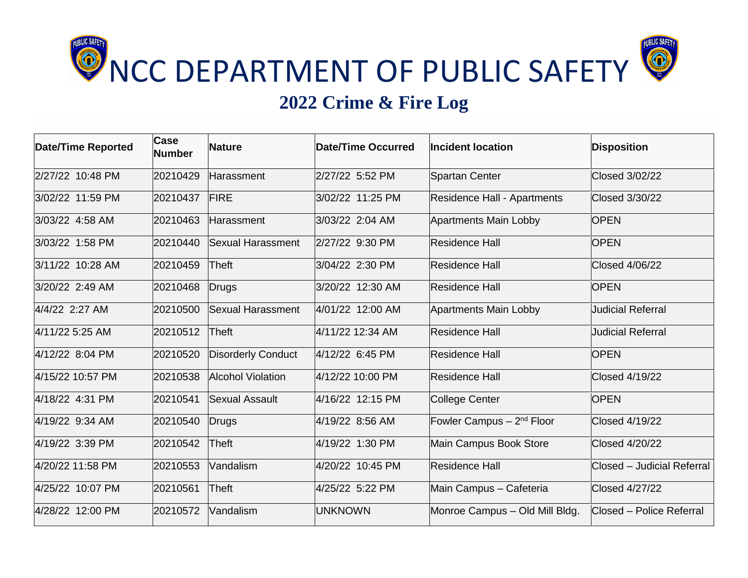

## **2022 Crime & Fire Log**

| <b>Date/Time Reported</b> | <b>Case</b><br><b>Number</b> | <b>Nature</b>             | Date/Time Occurred | <b>Incident location</b>       | <b>Disposition</b>         |
|---------------------------|------------------------------|---------------------------|--------------------|--------------------------------|----------------------------|
| 2/27/22 10:48 PM          | 20210429                     | Harassment                | 2/27/22 5:52 PM    | <b>Spartan Center</b>          | <b>Closed 3/02/22</b>      |
| 3/02/22 11:59 PM          | 20210437                     | <b>FIRE</b>               | 3/02/22 11:25 PM   | Residence Hall - Apartments    | Closed 3/30/22             |
| 3/03/22 4:58 AM           | 20210463                     | Harassment                | 3/03/22 2:04 AM    | <b>Apartments Main Lobby</b>   | <b>OPEN</b>                |
| 3/03/22 1:58 PM           | 20210440                     | Sexual Harassment         | 2/27/22 9:30 PM    | Residence Hall                 | <b>OPEN</b>                |
| 3/11/22 10:28 AM          | 20210459                     | <b>Theft</b>              | 3/04/22 2:30 PM    | <b>Residence Hall</b>          | <b>Closed 4/06/22</b>      |
| 3/20/22 2:49 AM           | 20210468                     | Drugs                     | 3/20/22 12:30 AM   | <b>Residence Hall</b>          | <b>OPEN</b>                |
| 4/4/22 2:27 AM            | 20210500                     | Sexual Harassment         | 4/01/22 12:00 AM   | <b>Apartments Main Lobby</b>   | <b>Judicial Referral</b>   |
| 4/11/22 5:25 AM           | 20210512                     | Theft                     | 4/11/22 12:34 AM   | <b>Residence Hall</b>          | <b>Judicial Referral</b>   |
| 4/12/22 8:04 PM           | 20210520                     | <b>Disorderly Conduct</b> | 4/12/22 6:45 PM    | <b>Residence Hall</b>          | <b>OPEN</b>                |
| 4/15/22 10:57 PM          | 20210538                     | <b>Alcohol Violation</b>  | 4/12/22 10:00 PM   | <b>Residence Hall</b>          | Closed 4/19/22             |
| 4/18/22 4:31 PM           | 20210541                     | <b>Sexual Assault</b>     | 4/16/22 12:15 PM   | <b>College Center</b>          | <b>OPEN</b>                |
| 4/19/22 9:34 AM           | 20210540                     | Drugs                     | 4/19/22 8:56 AM    | Fowler Campus $-2nd$ Floor     | <b>Closed 4/19/22</b>      |
| 4/19/22 3:39 PM           | 20210542                     | Theft                     | 4/19/22 1:30 PM    | Main Campus Book Store         | <b>Closed 4/20/22</b>      |
| 4/20/22 11:58 PM          | 20210553                     | Vandalism                 | 4/20/22 10:45 PM   | <b>Residence Hall</b>          | Closed - Judicial Referral |
| 4/25/22 10:07 PM          | 20210561                     | <b>Theft</b>              | 4/25/22 5:22 PM    | Main Campus - Cafeteria        | <b>Closed 4/27/22</b>      |
| 4/28/22 12:00 PM          | 20210572                     | Vandalism                 | <b>UNKNOWN</b>     | Monroe Campus - Old Mill Bldg. | Closed - Police Referral   |
|                           |                              |                           |                    |                                |                            |